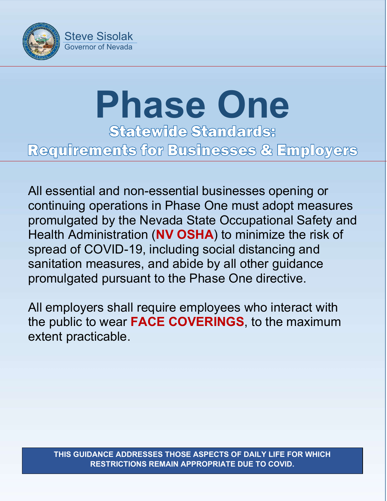

## **Phase One**<br>Statewide Standards: Requirements for Businesses & Employers

All essential and non-essential businesses opening or continuing operations in Phase One must adopt measures promulgated by the Nevada State Occupational Safety and Health Administration (NV OSHA) to minimize the risk of spread of COVID-19, including social distancing and sanitation measures, and abide by all other guidance promulgated pursuant to the Phase One directive.

All employers shall require employees who interact with the public to wear FACE COVERINGS, to the maximum extent practicable.